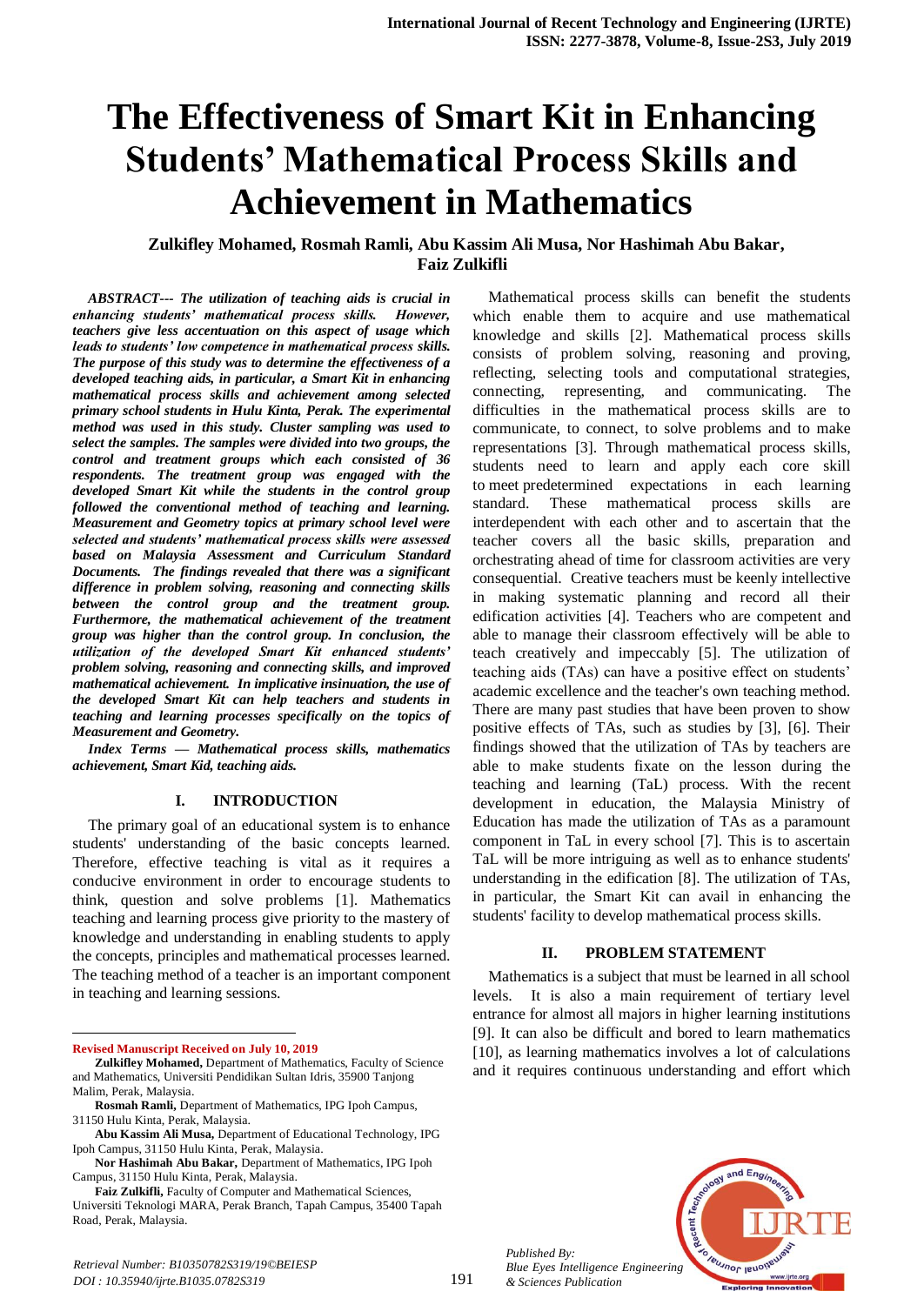# **The Effectiveness of Smart Kit in Enhancing Students' Mathematical Process Skills and Achievement in Mathematics**

# **Zulkifley Mohamed, Rosmah Ramli, Abu Kassim Ali Musa, Nor Hashimah Abu Bakar, Faiz Zulkifli**

*ABSTRACT--- The utilization of teaching aids is crucial in enhancing students' mathematical process skills. However, teachers give less accentuation on this aspect of usage which leads to students' low competence in mathematical process skills. The purpose of this study was to determine the effectiveness of a developed teaching aids, in particular, a Smart Kit in enhancing mathematical process skills and achievement among selected primary school students in Hulu Kinta, Perak. The experimental method was used in this study. Cluster sampling was used to select the samples. The samples were divided into two groups, the control and treatment groups which each consisted of 36 respondents. The treatment group was engaged with the developed Smart Kit while the students in the control group followed the conventional method of teaching and learning. Measurement and Geometry topics at primary school level were selected and students' mathematical process skills were assessed based on Malaysia Assessment and Curriculum Standard Documents. The findings revealed that there was a significant difference in problem solving, reasoning and connecting skills between the control group and the treatment group. Furthermore, the mathematical achievement of the treatment group was higher than the control group. In conclusion, the utilization of the developed Smart Kit enhanced students' problem solving, reasoning and connecting skills, and improved mathematical achievement. In implicative insinuation, the use of the developed Smart Kit can help teachers and students in teaching and learning processes specifically on the topics of Measurement and Geometry.* 

*Index Terms — Mathematical process skills, mathematics achievement, Smart Kid, teaching aids.*

#### **I. INTRODUCTION**

The primary goal of an educational system is to enhance students' understanding of the basic concepts learned. Therefore, effective teaching is vital as it requires a conducive environment in order to encourage students to think, question and solve problems [1]. Mathematics teaching and learning process give priority to the mastery of knowledge and understanding in enabling students to apply the concepts, principles and mathematical processes learned. The teaching method of a teacher is an important component in teaching and learning sessions.

**Revised Manuscript Received on July 10, 2019**

1

**Faiz Zulkifli,** Faculty of Computer and Mathematical Sciences, Universiti Teknologi MARA, Perak Branch, Tapah Campus, 35400 Tapah Road, Perak, Malaysia.

which enable them to acquire and use mathematical knowledge and skills [2]. Mathematical process skills consists of problem solving, reasoning and proving, reflecting, selecting tools and computational strategies, connecting, representing, and communicating. The difficulties in the mathematical process skills are to communicate, to connect, to solve problems and to make representations [3]. Through mathematical process skills, students need to learn and apply each core skill to meet predetermined expectations in each learning standard. These mathematical process skills are interdependent with each other and to ascertain that the teacher covers all the basic skills, preparation and orchestrating ahead of time for classroom activities are very consequential. Creative teachers must be keenly intellective in making systematic planning and record all their edification activities [4]. Teachers who are competent and able to manage their classroom effectively will be able to teach creatively and impeccably [5]. The utilization of teaching aids (TAs) can have a positive effect on students' academic excellence and the teacher's own teaching method. There are many past studies that have been proven to show positive effects of TAs, such as studies by [3], [6]. Their findings showed that the utilization of TAs by teachers are able to make students fixate on the lesson during the teaching and learning (TaL) process. With the recent development in education, the Malaysia Ministry of Education has made the utilization of TAs as a paramount component in TaL in every school [7]. This is to ascertain TaL will be more intriguing as well as to enhance students' understanding in the edification [8]. The utilization of TAs, in particular, the Smart Kit can avail in enhancing the students' facility to develop mathematical process skills.

Mathematical process skills can benefit the students

## **II. PROBLEM STATEMENT**

Mathematics is a subject that must be learned in all school levels. It is also a main requirement of tertiary level entrance for almost all majors in higher learning institutions [9]. It can also be difficult and bored to learn mathematics [10], as learning mathematics involves a lot of calculations and it requires continuous understanding and effort which



*Published By: Blue Eyes Intelligence Engineering & Sciences Publication* 

**Zulkifley Mohamed,** Department of Mathematics, Faculty of Science and Mathematics, Universiti Pendidikan Sultan Idris, 35900 Tanjong Malim, Perak, Malaysia.

**Rosmah Ramli,** Department of Mathematics, IPG Ipoh Campus, 31150 Hulu Kinta, Perak, Malaysia.

**Abu Kassim Ali Musa,** Department of Educational Technology, IPG Ipoh Campus, 31150 Hulu Kinta, Perak, Malaysia.

**Nor Hashimah Abu Bakar,** Department of Mathematics, IPG Ipoh Campus, 31150 Hulu Kinta, Perak, Malaysia.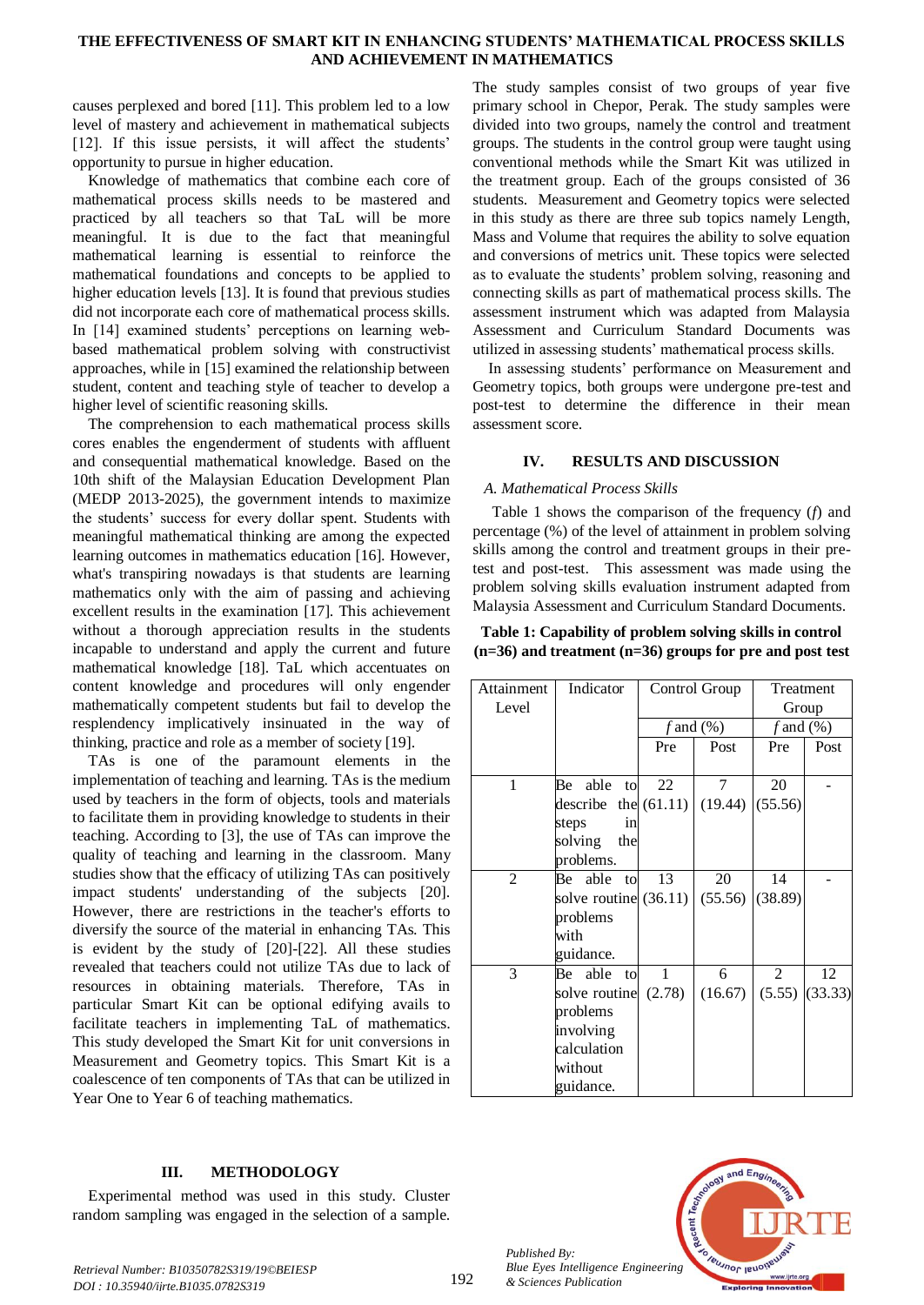## **THE EFFECTIVENESS OF SMART KIT IN ENHANCING STUDENTS' MATHEMATICAL PROCESS SKILLS AND ACHIEVEMENT IN MATHEMATICS**

causes perplexed and bored [11]. This problem led to a low level of mastery and achievement in mathematical subjects [12]. If this issue persists, it will affect the students' opportunity to pursue in higher education.

Knowledge of mathematics that combine each core of mathematical process skills needs to be mastered and practiced by all teachers so that TaL will be more meaningful. It is due to the fact that meaningful mathematical learning is essential to reinforce the mathematical foundations and concepts to be applied to higher education levels [13]. It is found that previous studies did not incorporate each core of mathematical process skills. In [14] examined students' perceptions on learning webbased mathematical problem solving with constructivist approaches, while in [15] examined the relationship between student, content and teaching style of teacher to develop a higher level of scientific reasoning skills.

The comprehension to each mathematical process skills cores enables the engenderment of students with affluent and consequential mathematical knowledge. Based on the 10th shift of the Malaysian Education Development Plan (MEDP 2013-2025), the government intends to maximize the students' success for every dollar spent. Students with meaningful mathematical thinking are among the expected learning outcomes in mathematics education [16]. However, what's transpiring nowadays is that students are learning mathematics only with the aim of passing and achieving excellent results in the examination [17]. This achievement without a thorough appreciation results in the students incapable to understand and apply the current and future mathematical knowledge [18]. TaL which accentuates on content knowledge and procedures will only engender mathematically competent students but fail to develop the resplendency implicatively insinuated in the way of thinking, practice and role as a member of society [19].

TAs is one of the paramount elements in the implementation of teaching and learning. TAs is the medium used by teachers in the form of objects, tools and materials to facilitate them in providing knowledge to students in their teaching. According to [3], the use of TAs can improve the quality of teaching and learning in the classroom. Many studies show that the efficacy of utilizing TAs can positively impact students' understanding of the subjects [20]. However, there are restrictions in the teacher's efforts to diversify the source of the material in enhancing TAs. This is evident by the study of [20]-[22]. All these studies revealed that teachers could not utilize TAs due to lack of resources in obtaining materials. Therefore, TAs in particular Smart Kit can be optional edifying avails to facilitate teachers in implementing TaL of mathematics. This study developed the Smart Kit for unit conversions in Measurement and Geometry topics. This Smart Kit is a coalescence of ten components of TAs that can be utilized in Year One to Year 6 of teaching mathematics.

## **III. METHODOLOGY**

Experimental method was used in this study. Cluster random sampling was engaged in the selection of a sample.

The study samples consist of two groups of year five primary school in Chepor, Perak. The study samples were divided into two groups, namely the control and treatment groups. The students in the control group were taught using conventional methods while the Smart Kit was utilized in the treatment group. Each of the groups consisted of 36 students. Measurement and Geometry topics were selected in this study as there are three sub topics namely Length, Mass and Volume that requires the ability to solve equation and conversions of metrics unit. These topics were selected as to evaluate the students' problem solving, reasoning and connecting skills as part of mathematical process skills. The assessment instrument which was adapted from Malaysia Assessment and Curriculum Standard Documents was utilized in assessing students' mathematical process skills.

In assessing students' performance on Measurement and Geometry topics, both groups were undergone pre-test and post-test to determine the difference in their mean assessment score.

## **IV. RESULTS AND DISCUSSION**

## *A. Mathematical Process Skills*

Table 1 shows the comparison of the frequency (*f*) and percentage (%) of the level of attainment in problem solving skills among the control and treatment groups in their pretest and post-test. This assessment was made using the problem solving skills evaluation instrument adapted from Malaysia Assessment and Curriculum Standard Documents.

**Table 1: Capability of problem solving skills in control (n=36) and treatment (n=36) groups for pre and post test**

| Attainment     | Indicator               |     | Control Group | Treatment      |         |
|----------------|-------------------------|-----|---------------|----------------|---------|
| Level          |                         |     |               |                | Group   |
|                |                         |     | f and $(\%)$  | $f$ and $(\%)$ |         |
|                |                         | Pre | Post          | Pre            | Post    |
|                |                         |     |               |                |         |
| 1              | Be<br>able to           | 22  | 7             | 20             |         |
|                | describe the $(61.11)$  |     | (19.44)       | (55.56)        |         |
|                | steps<br>in             |     |               |                |         |
|                | solving<br>the          |     |               |                |         |
|                | problems.               |     |               |                |         |
| $\overline{2}$ | Be able to              | 13  | 20            | 14             |         |
|                | solve routine $(36.11)$ |     | (55.56)       | (38.89)        |         |
|                | problems                |     |               |                |         |
|                | with                    |     |               |                |         |
|                | guidance.               |     |               |                |         |
| 3              | Be able<br>to           | 1   | 6             | 2              | 12      |
|                | solve routine $(2.78)$  |     | (16.67)       | (5.55)         | (33.33) |
|                | problems                |     |               |                |         |
|                | involving               |     |               |                |         |
|                | calculation             |     |               |                |         |
|                | without                 |     |               |                |         |
|                | guidance.               |     |               |                |         |



*Published By:*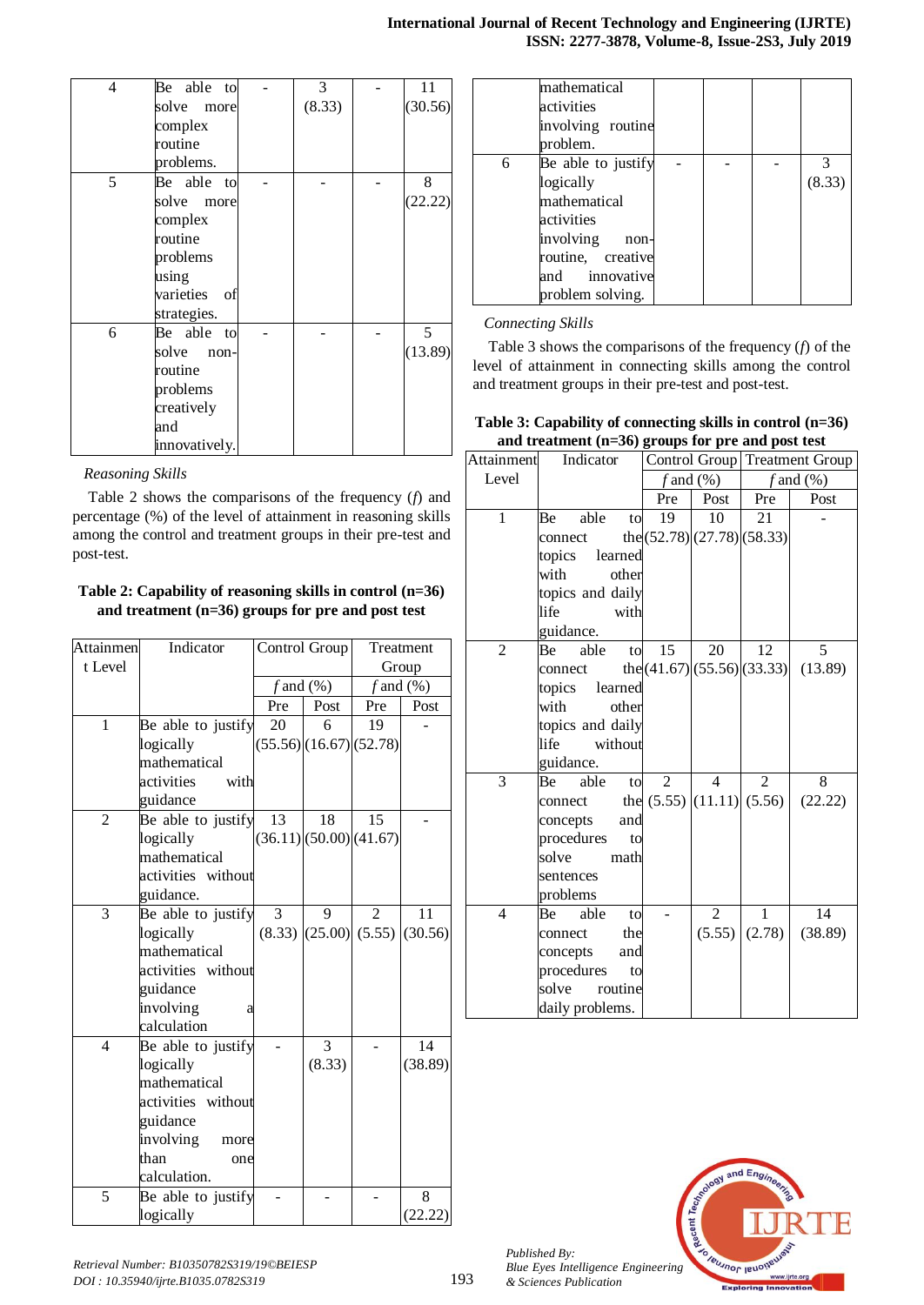| <b>International Journal of Recent Technology and Engineering (IJRTE)</b> |  |  |  |
|---------------------------------------------------------------------------|--|--|--|
| ISSN: 2277-3878, Volume-8, Issue-2S3, July 2019                           |  |  |  |

| 4 | Be able to    | 3      | 11      |
|---|---------------|--------|---------|
|   | solve more    | (8.33) | (30.56) |
|   | complex       |        |         |
|   | routine       |        |         |
|   | problems.     |        |         |
| 5 | Be able to    |        | 8       |
|   | solve more    |        | (22.22) |
|   | complex       |        |         |
|   | routine       |        |         |
|   | problems      |        |         |
|   | using         |        |         |
|   | varieties of  |        |         |
|   | strategies.   |        |         |
| 6 | Be able to    |        | 5       |
|   | solve<br>non- |        | (13.89) |
|   | routine       |        |         |
|   | problems      |        |         |
|   | creatively    |        |         |
|   | and           |        |         |
|   | innovatively. |        |         |

## *Reasoning Skills*

Table 2 shows the comparisons of the frequency (*f*) and percentage (%) of the level of attainment in reasoning skills among the control and treatment groups in their pre-test and post-test.

## **Table 2: Capability of reasoning skills in control (n=36) and treatment (n=36) groups for pre and post test**

| <b>Attainmen</b> | Indicator          | Control Group  |                       | Treatment                             |         |
|------------------|--------------------|----------------|-----------------------|---------------------------------------|---------|
| t Level          |                    |                |                       | Group                                 |         |
|                  |                    | $f$ and $(\%)$ |                       | $f$ and $(\%)$                        |         |
|                  |                    | Pre            | Post                  | Pre                                   | Post    |
| $\mathbf{1}$     | Be able to justify | 20             | 6                     | 19                                    |         |
|                  | logically          |                |                       | (55.56)(16.67)(52.78)                 |         |
|                  | mathematical       |                |                       |                                       |         |
|                  | activities<br>with |                |                       |                                       |         |
|                  | guidance           |                |                       |                                       |         |
| $\overline{2}$   | Be able to justify | 13             | 18                    | 15                                    |         |
|                  | logically          |                | (36.11)(50.00)(41.67) |                                       |         |
|                  | mathematical       |                |                       |                                       |         |
|                  | activities without |                |                       |                                       |         |
|                  | guidance.          |                |                       |                                       |         |
| 3                | Be able to justify | 3              | 9                     | 2                                     | 11      |
|                  | logically          |                |                       | $(8.33)$ $(25.00)$ $(5.55)$ $(30.56)$ |         |
|                  | mathematical       |                |                       |                                       |         |
|                  | activities without |                |                       |                                       |         |
|                  | guidance           |                |                       |                                       |         |
|                  | involving<br>a     |                |                       |                                       |         |
|                  | calculation        |                |                       |                                       |         |
| $\overline{4}$   | Be able to justify |                | 3                     |                                       | 14      |
|                  | logically          |                | (8.33)                |                                       | (38.89) |
|                  | mathematical       |                |                       |                                       |         |
|                  | activities without |                |                       |                                       |         |
|                  | guidance           |                |                       |                                       |         |
|                  | involving<br>more  |                |                       |                                       |         |
|                  | than<br>one        |                |                       |                                       |         |
|                  | calculation.       |                |                       |                                       |         |
| 5                | Be able to justify |                |                       |                                       | 8       |
|                  | logically          |                |                       |                                       | (22.22) |

|   | mathematical<br>activities<br>involving routine |  |        |
|---|-------------------------------------------------|--|--------|
|   | problem.                                        |  |        |
| 6 | Be able to justify                              |  |        |
|   | logically                                       |  | (8.33) |
|   | mathematical                                    |  |        |
|   | activities                                      |  |        |
|   | involving<br>non-                               |  |        |
|   | routine, creative                               |  |        |
|   | and innovative                                  |  |        |
|   | problem solving.                                |  |        |

# *Connecting Skills*

Table 3 shows the comparisons of the frequency (*f*) of the level of attainment in connecting skills among the control and treatment groups in their pre-test and post-test.

| Table 3: Capability of connecting skills in control $(n=36)$ |
|--------------------------------------------------------------|
| and treatment $(n=36)$ groups for pre and post test          |

|                | and dealing $(1 - \omega)$ groups for pre-and post test |                                 |                |                   |                               |  |
|----------------|---------------------------------------------------------|---------------------------------|----------------|-------------------|-------------------------------|--|
| Attainment     | Indicator                                               |                                 |                |                   | Control Group Treatment Group |  |
| Level          |                                                         |                                 | f and $(\%)$   |                   | $f$ and $(\%)$                |  |
|                |                                                         | Pre                             | Post           | Pre               | Post                          |  |
| 1              | able<br>Be<br>to                                        | 19                              | 10             | 21                |                               |  |
|                | connect                                                 | the $(52.78)(27.78)(58.33)$     |                |                   |                               |  |
|                | topics learned                                          |                                 |                |                   |                               |  |
|                | with<br>other                                           |                                 |                |                   |                               |  |
|                | topics and daily                                        |                                 |                |                   |                               |  |
|                | life<br>with                                            |                                 |                |                   |                               |  |
|                | guidance.                                               |                                 |                |                   |                               |  |
| $\overline{2}$ | able<br>Be<br>to                                        | 15                              | 20             | 12                | 5                             |  |
|                | connect                                                 | the $(41.67)$ (55.56) (33.33)   |                |                   | (13.89)                       |  |
|                | topics learned                                          |                                 |                |                   |                               |  |
|                | with<br>other                                           |                                 |                |                   |                               |  |
|                | topics and daily                                        |                                 |                |                   |                               |  |
|                | life<br>without                                         |                                 |                |                   |                               |  |
|                | guidance.                                               |                                 |                |                   |                               |  |
| 3              | able<br>Be<br>to                                        | $\overline{2}$                  | $\overline{4}$ | $\overline{2}$    | 8                             |  |
|                | connect                                                 | the $(5.55)$ $(11.11)$ $(5.56)$ |                |                   | (22.22)                       |  |
|                | concepts<br>and                                         |                                 |                |                   |                               |  |
|                | procedures<br>to                                        |                                 |                |                   |                               |  |
|                | solve<br>math                                           |                                 |                |                   |                               |  |
|                | sentences                                               |                                 |                |                   |                               |  |
|                | problems                                                |                                 |                |                   |                               |  |
| $\overline{4}$ | able<br>Be<br>to                                        |                                 | $\overline{2}$ | 1                 | 14                            |  |
|                | the<br>connect                                          |                                 |                | $(5.55)$ $(2.78)$ | (38.89)                       |  |
|                | concepts<br>and                                         |                                 |                |                   |                               |  |
|                | procedures<br>to                                        |                                 |                |                   |                               |  |
|                | solve<br>routine                                        |                                 |                |                   |                               |  |
|                | daily problems.                                         |                                 |                |                   |                               |  |



*Published By:*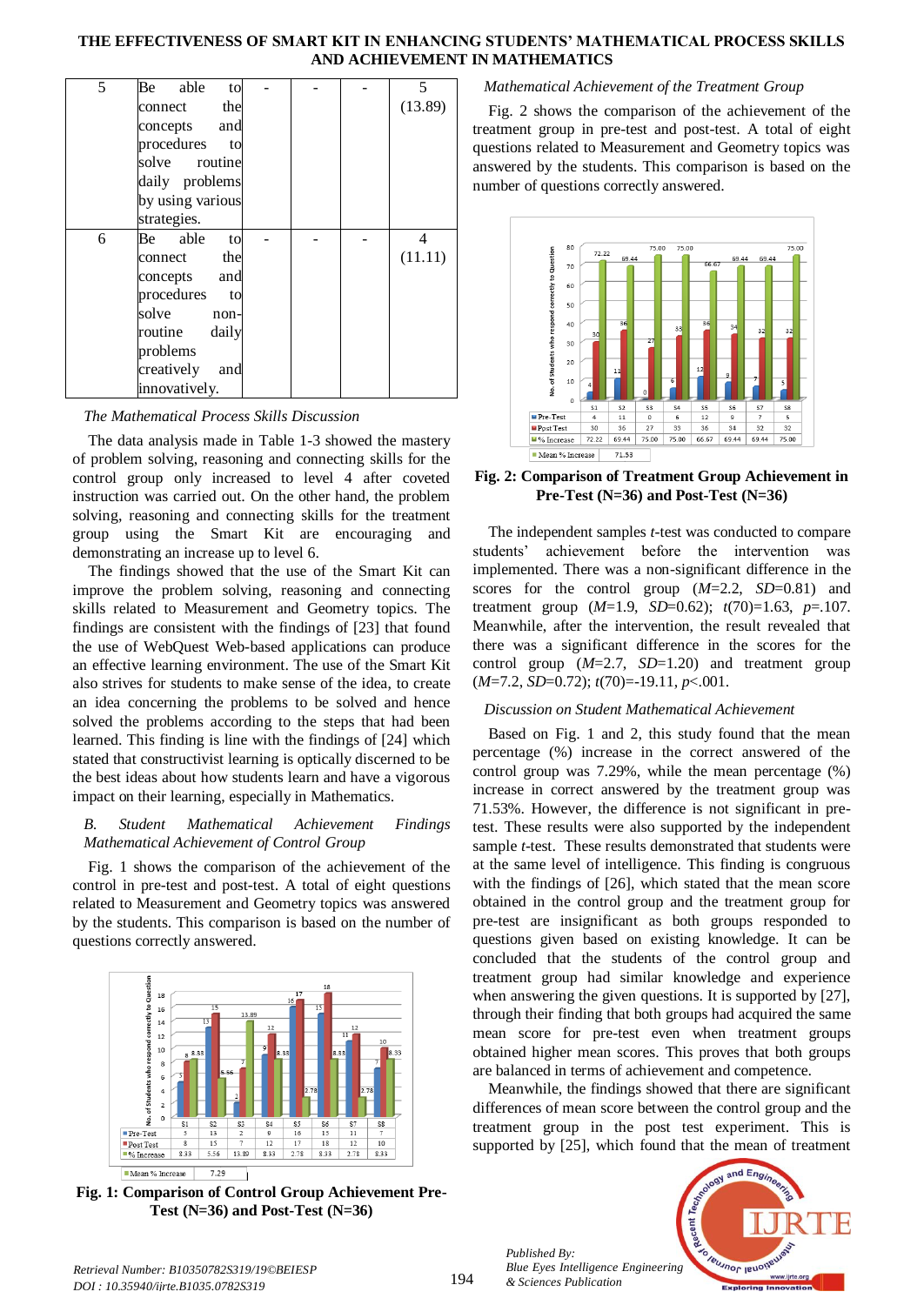## **THE EFFECTIVENESS OF SMART KIT IN ENHANCING STUDENTS' MATHEMATICAL PROCESS SKILLS AND ACHIEVEMENT IN MATHEMATICS**

| 5 | Be able<br>to     |  | 5       |
|---|-------------------|--|---------|
|   | the<br>connect    |  | (13.89) |
|   | concepts and      |  |         |
|   | procedures to     |  |         |
|   | solve routine     |  |         |
|   | daily problems    |  |         |
|   | by using various  |  |         |
|   | strategies.       |  |         |
| 6 | Be able<br>to     |  | 4       |
|   | the<br>connect    |  | (11.11) |
|   | concepts and      |  |         |
|   | procedures to     |  |         |
|   | solve non-        |  |         |
|   | routine daily     |  |         |
|   | problems          |  |         |
|   | creatively<br>and |  |         |
|   | innovatively.     |  |         |

## *The Mathematical Process Skills Discussion*

The data analysis made in Table 1-3 showed the mastery of problem solving, reasoning and connecting skills for the control group only increased to level 4 after coveted instruction was carried out. On the other hand, the problem solving, reasoning and connecting skills for the treatment group using the Smart Kit are encouraging and demonstrating an increase up to level 6.

The findings showed that the use of the Smart Kit can improve the problem solving, reasoning and connecting skills related to Measurement and Geometry topics. The findings are consistent with the findings of [23] that found the use of WebQuest Web-based applications can produce an effective learning environment. The use of the Smart Kit also strives for students to make sense of the idea, to create an idea concerning the problems to be solved and hence solved the problems according to the steps that had been learned. This finding is line with the findings of [24] which stated that constructivist learning is optically discerned to be the best ideas about how students learn and have a vigorous impact on their learning, especially in Mathematics.

## *B. Student Mathematical Achievement Findings Mathematical Achievement of Control Group*

Fig. 1 shows the comparison of the achievement of the control in pre-test and post-test. A total of eight questions related to Measurement and Geometry topics was answered by the students. This comparison is based on the number of questions correctly answered.



**Fig. 1: Comparison of Control Group Achievement Pre-Test (N=36) and Post-Test (N=36)**

## *Mathematical Achievement of the Treatment Group*

Fig. 2 shows the comparison of the achievement of the treatment group in pre-test and post-test. A total of eight questions related to Measurement and Geometry topics was answered by the students. This comparison is based on the number of questions correctly answered.



**Fig. 2: Comparison of Treatment Group Achievement in Pre-Test (N=36) and Post-Test (N=36)**

The independent samples *t*-test was conducted to compare students' achievement before the intervention was implemented. There was a non-significant difference in the scores for the control group (*M*=2.2, *SD*=0.81) and treatment group (*M*=1.9, *SD*=0.62); *t*(70)=1.63, *p*=.107. Meanwhile, after the intervention, the result revealed that there was a significant difference in the scores for the control group (*M*=2.7, *SD*=1.20) and treatment group (*M*=7.2, *SD*=0.72); *t*(70)=-19.11, *p*<.001.

#### *Discussion on Student Mathematical Achievement*

Based on Fig. 1 and 2, this study found that the mean percentage (%) increase in the correct answered of the control group was 7.29%, while the mean percentage (%) increase in correct answered by the treatment group was 71.53%. However, the difference is not significant in pretest. These results were also supported by the independent sample *t*-test. These results demonstrated that students were at the same level of intelligence. This finding is congruous with the findings of [26], which stated that the mean score obtained in the control group and the treatment group for pre-test are insignificant as both groups responded to questions given based on existing knowledge. It can be concluded that the students of the control group and treatment group had similar knowledge and experience when answering the given questions. It is supported by [27], through their finding that both groups had acquired the same mean score for pre-test even when treatment groups obtained higher mean scores. This proves that both groups are balanced in terms of achievement and competence.

Meanwhile, the findings showed that there are significant differences of mean score between the control group and the treatment group in the post test experiment. This is supported by [25], which found that the mean of treatment

*Published By: Blue Eyes Intelligence Engineering & Sciences Publication* 



*Retrieval Number: B10350782S319/19©BEIESP DOI : 10.35940/ijrte.B1035.0782S319*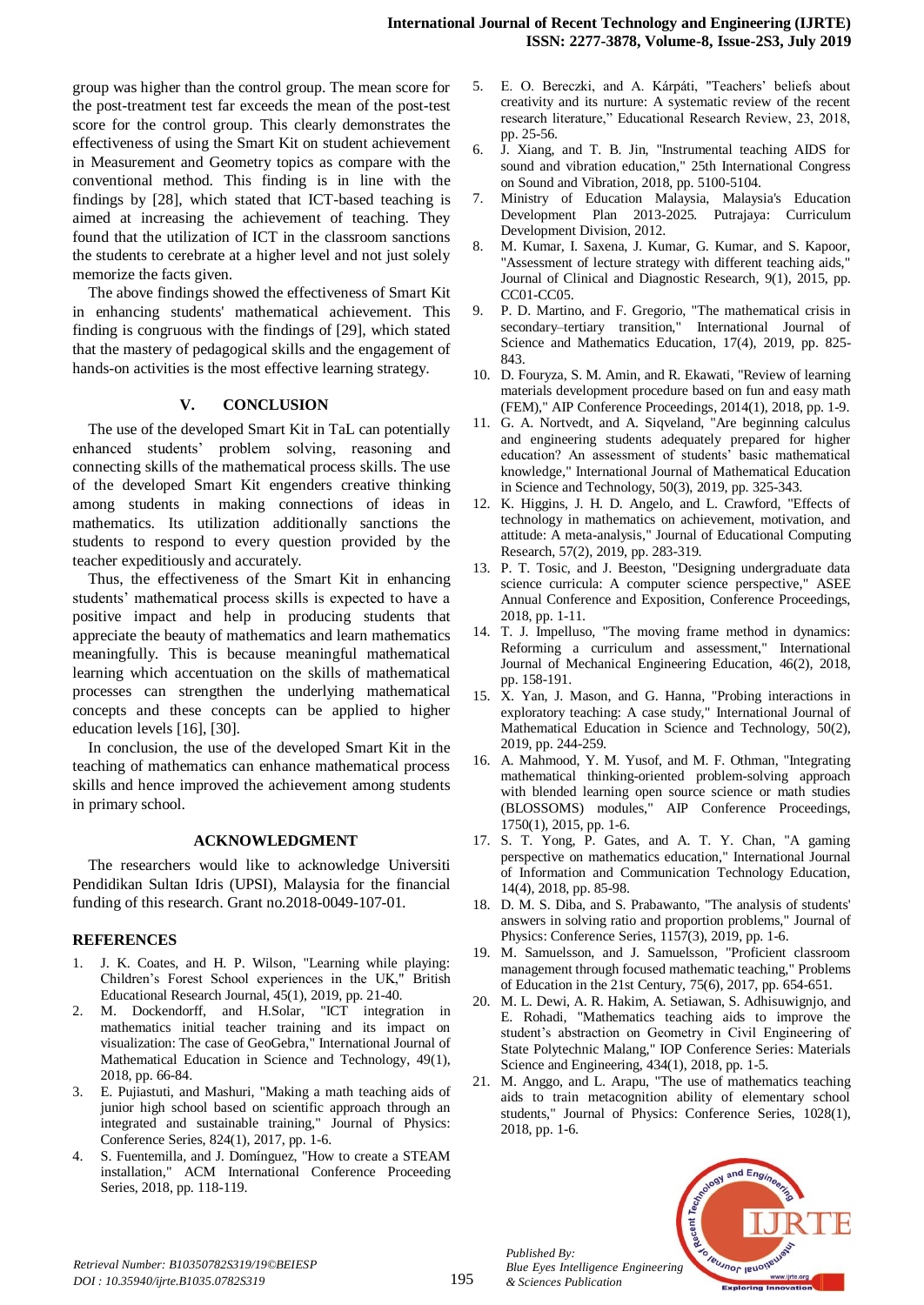group was higher than the control group. The mean score for the post-treatment test far exceeds the mean of the post-test score for the control group. This clearly demonstrates the effectiveness of using the Smart Kit on student achievement in Measurement and Geometry topics as compare with the conventional method. This finding is in line with the findings by [28], which stated that ICT-based teaching is aimed at increasing the achievement of teaching. They found that the utilization of ICT in the classroom sanctions the students to cerebrate at a higher level and not just solely memorize the facts given.

The above findings showed the effectiveness of Smart Kit in enhancing students' mathematical achievement. This finding is congruous with the findings of [29], which stated that the mastery of pedagogical skills and the engagement of hands-on activities is the most effective learning strategy.

## **V. CONCLUSION**

The use of the developed Smart Kit in TaL can potentially enhanced students' problem solving, reasoning and connecting skills of the mathematical process skills. The use of the developed Smart Kit engenders creative thinking among students in making connections of ideas in mathematics. Its utilization additionally sanctions the students to respond to every question provided by the teacher expeditiously and accurately.

Thus, the effectiveness of the Smart Kit in enhancing students' mathematical process skills is expected to have a positive impact and help in producing students that appreciate the beauty of mathematics and learn mathematics meaningfully. This is because meaningful mathematical learning which accentuation on the skills of mathematical processes can strengthen the underlying mathematical concepts and these concepts can be applied to higher education levels [16], [30].

In conclusion, the use of the developed Smart Kit in the teaching of mathematics can enhance mathematical process skills and hence improved the achievement among students in primary school.

## **ACKNOWLEDGMENT**

The researchers would like to acknowledge Universiti Pendidikan Sultan Idris (UPSI), Malaysia for the financial funding of this research. Grant no*.*2018-0049-107-01.

## **REFERENCES**

- 1. J. K. Coates, and H. P. Wilson, "Learning while playing: Children's Forest School experiences in the UK," British Educational Research Journal, 45(1), 2019, pp. 21-40.
- 2. M. Dockendorff, and H.Solar, "ICT integration in mathematics initial teacher training and its impact on visualization: The case of GeoGebra," International Journal of Mathematical Education in Science and Technology, 49(1), 2018, pp. 66-84.
- 3. E. Pujiastuti, and Mashuri, "Making a math teaching aids of junior high school based on scientific approach through an integrated and sustainable training," Journal of Physics: Conference Series, 824(1), 2017, pp. 1-6.
- 4. S. Fuentemilla, and J. Domínguez, "How to create a STEAM installation," ACM International Conference Proceeding Series, 2018, pp. 118-119.
- 5. E. O. Bereczki, and A. Kárpáti, "Teachers' beliefs about creativity and its nurture: A systematic review of the recent research literature," Educational Research Review, 23, 2018, pp. 25-56.
- 6. J. Xiang, and T. B. Jin, "Instrumental teaching AIDS for sound and vibration education," 25th International Congress on Sound and Vibration, 2018, pp. 5100-5104.
- 7. Ministry of Education Malaysia, Malaysia's Education Development Plan 2013-2025*.* Putrajaya: Curriculum Development Division, 2012.
- 8. M. Kumar, I. Saxena, J. Kumar, G. Kumar, and S. Kapoor, "Assessment of lecture strategy with different teaching aids," Journal of Clinical and Diagnostic Research, 9(1), 2015, pp. CC01-CC05.
- 9. P. D. Martino, and F. Gregorio, "The mathematical crisis in secondary–tertiary transition," International Journal of Science and Mathematics Education, 17(4), 2019, pp. 825- 843.
- 10. D. Fouryza, S. M. Amin, and R. Ekawati, "Review of learning materials development procedure based on fun and easy math (FEM)," AIP Conference Proceedings, 2014(1), 2018, pp. 1-9.
- 11. G. A. Nortvedt, and A. Siqveland, "Are beginning calculus and engineering students adequately prepared for higher education? An assessment of students' basic mathematical knowledge," International Journal of Mathematical Education in Science and Technology, 50(3), 2019, pp. 325-343.
- 12. K. Higgins, J. H. D. Angelo, and L. Crawford, "Effects of technology in mathematics on achievement, motivation, and attitude: A meta-analysis," Journal of Educational Computing Research, 57(2), 2019, pp. 283-319.
- 13. P. T. Tosic, and J. Beeston, "Designing undergraduate data science curricula: A computer science perspective," ASEE Annual Conference and Exposition, Conference Proceedings, 2018, pp. 1-11.
- 14. T. J. Impelluso, "The moving frame method in dynamics: Reforming a curriculum and assessment," International Journal of Mechanical Engineering Education, 46(2), 2018, pp. 158-191.
- 15. X. Yan, J. Mason, and G. Hanna, "Probing interactions in exploratory teaching: A case study," International Journal of Mathematical Education in Science and Technology, 50(2), 2019, pp. 244-259.
- 16. A. Mahmood, Y. M. Yusof, and M. F. Othman, "Integrating mathematical thinking-oriented problem-solving approach with blended learning open source science or math studies (BLOSSOMS) modules," AIP Conference Proceedings, 1750(1), 2015, pp. 1-6.
- 17. S. T. Yong, P. Gates, and A. T. Y. Chan, "A gaming perspective on mathematics education," International Journal of Information and Communication Technology Education, 14(4), 2018, pp. 85-98.
- 18. D. M. S. Diba, and S. Prabawanto, "The analysis of students' answers in solving ratio and proportion problems," Journal of Physics: Conference Series, 1157(3), 2019, pp. 1-6.
- 19. M. Samuelsson, and J. Samuelsson, "Proficient classroom management through focused mathematic teaching," Problems of Education in the 21st Century, 75(6), 2017, pp. 654-651.
- 20. M. L. Dewi, A. R. Hakim, A. Setiawan, S. Adhisuwignjo, and E. Rohadi, "Mathematics teaching aids to improve the student's abstraction on Geometry in Civil Engineering of State Polytechnic Malang," IOP Conference Series: Materials Science and Engineering, 434(1), 2018, pp. 1-5.
- 21. M. Anggo, and L. Arapu, "The use of mathematics teaching aids to train metacognition ability of elementary school students," Journal of Physics: Conference Series, 1028(1), 2018, pp. 1-6.



*Retrieval Number: B10350782S319/19©BEIESP DOI : 10.35940/ijrte.B1035.0782S319*

*Published By:*